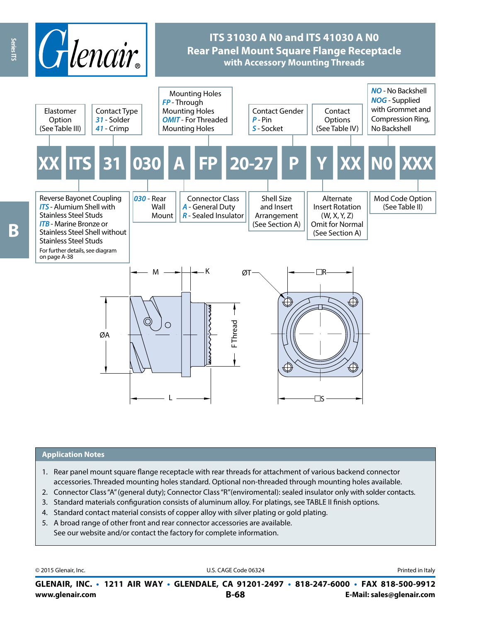

#### **Application Notes**

- 1. Rear panel mount square flange receptacle with rear threads for attachment of various backend connector accessories. Threaded mounting holes standard. Optional non-threaded through mounting holes available.
- 2. Connector Class "A" (general duty); Connector Class "R"(enviromental): sealed insulator only with solder contacts.
- 3. Standard materials configuration consists of aluminum alloy. For platings, see TABLE II finish options.
- 4. Standard contact material consists of copper alloy with silver plating or gold plating.
- 5. A broad range of other front and rear connector accessories are available. See our website and/or contact the factory for complete information.

© 2015 Glenair, Inc. **Discription Construction Construction Construction Construction Construction Construction Construction Construction Construction Construction Construction Construction Construction Construction Constr** 

**www.glenair.com B-68 E-Mail: sales@glenair.com GLENAIR, INC. • 1211 AIR WAY • GLENDALE, CA 91201-2497 • 818-247-6000 • FAX 818-500-9912**